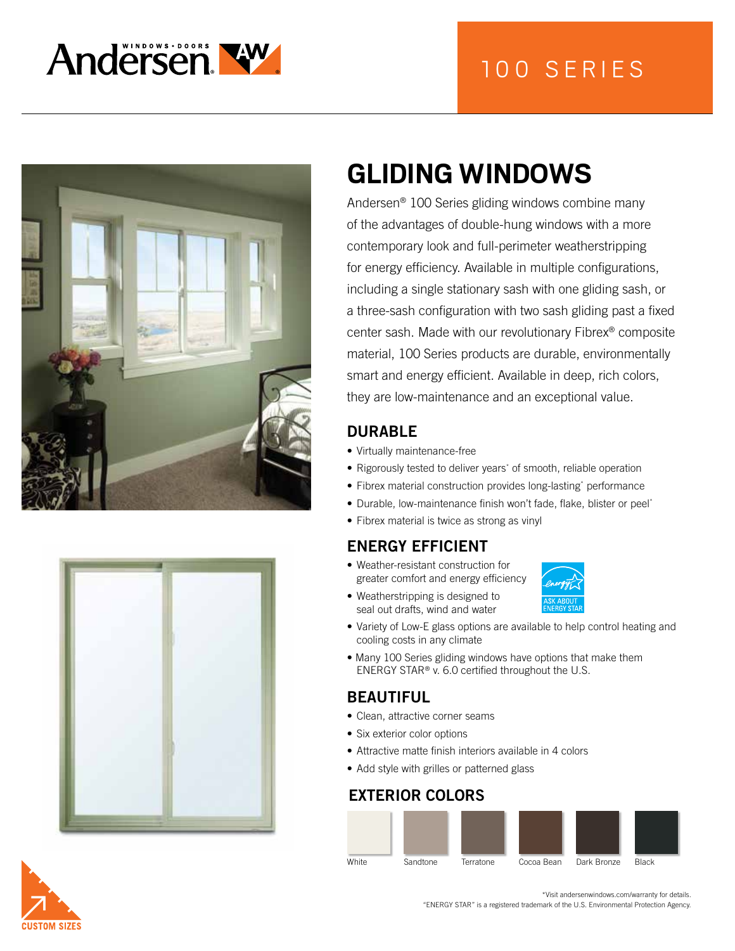







# **GLIDING WINDOWS**

Andersen® 100 Series gliding windows combine many of the advantages of double-hung windows with a more contemporary look and full-perimeter weatherstripping for energy efficiency. Available in multiple configurations, including a single stationary sash with one gliding sash, or a three-sash configuration with two sash gliding past a fixed center sash. Made with our revolutionary Fibrex® composite material, 100 Series products are durable, environmentally smart and energy efficient. Available in deep, rich colors, they are low-maintenance and an exceptional value.

#### DURABLE

- Virtually maintenance-free
- Rigorously tested to deliver years\* of smooth, reliable operation
- Fibrex material construction provides long-lasting\* performance
- Durable, low-maintenance finish won't fade, flake, blister or peel\*
- Fibrex material is twice as strong as vinyl

# ENERGY EFFICIENT

• Weatherstripping is designed to

• Weather-resistant construction for greater comfort and energy efficiency



- seal out drafts, wind and water • Variety of Low-E glass options are available to help control heating and cooling costs in any climate
- Many 100 Series gliding windows have options that make them ENERGY STAR® v. 6.0 certified throughout the U.S.

#### BEAUTIFUL

- Clean, attractive corner seams
- Six exterior color options
- Attractive matte finish interiors available in 4 colors
- Add style with grilles or patterned glass

#### EXTERIOR COLORS